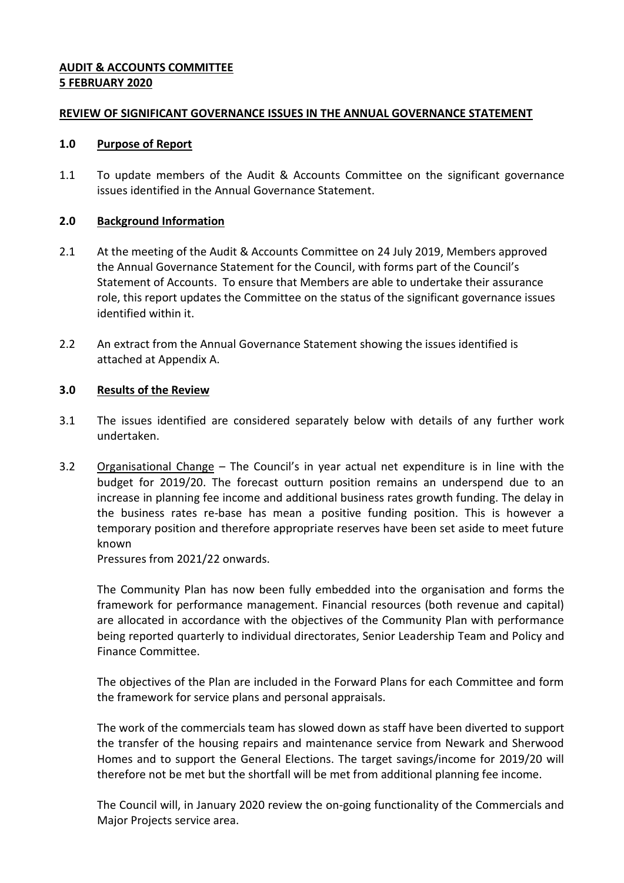# **AUDIT & ACCOUNTS COMMITTEE 5 FEBRUARY 2020**

#### **REVIEW OF SIGNIFICANT GOVERNANCE ISSUES IN THE ANNUAL GOVERNANCE STATEMENT**

#### **1.0 Purpose of Report**

1.1 To update members of the Audit & Accounts Committee on the significant governance issues identified in the Annual Governance Statement.

# **2.0 Background Information**

- 2.1 At the meeting of the Audit & Accounts Committee on 24 July 2019, Members approved the Annual Governance Statement for the Council, with forms part of the Council's Statement of Accounts. To ensure that Members are able to undertake their assurance role, this report updates the Committee on the status of the significant governance issues identified within it.
- 2.2 An extract from the Annual Governance Statement showing the issues identified is attached at Appendix A.

# **3.0 Results of the Review**

- 3.1 The issues identified are considered separately below with details of any further work undertaken.
- 3.2 Organisational Change The Council's in year actual net expenditure is in line with the budget for 2019/20. The forecast outturn position remains an underspend due to an increase in planning fee income and additional business rates growth funding. The delay in the business rates re-base has mean a positive funding position. This is however a temporary position and therefore appropriate reserves have been set aside to meet future known

Pressures from 2021/22 onwards.

The Community Plan has now been fully embedded into the organisation and forms the framework for performance management. Financial resources (both revenue and capital) are allocated in accordance with the objectives of the Community Plan with performance being reported quarterly to individual directorates, Senior Leadership Team and Policy and Finance Committee.

The objectives of the Plan are included in the Forward Plans for each Committee and form the framework for service plans and personal appraisals.

The work of the commercials team has slowed down as staff have been diverted to support the transfer of the housing repairs and maintenance service from Newark and Sherwood Homes and to support the General Elections. The target savings/income for 2019/20 will therefore not be met but the shortfall will be met from additional planning fee income.

The Council will, in January 2020 review the on-going functionality of the Commercials and Major Projects service area.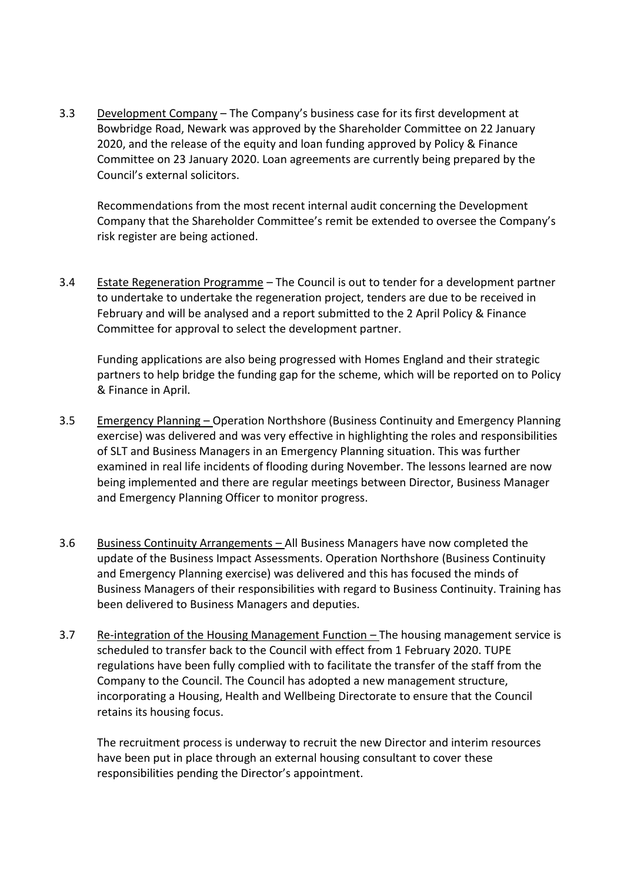3.3 Development Company – The Company's business case for its first development at Bowbridge Road, Newark was approved by the Shareholder Committee on 22 January 2020, and the release of the equity and loan funding approved by Policy & Finance Committee on 23 January 2020. Loan agreements are currently being prepared by the Council's external solicitors.

Recommendations from the most recent internal audit concerning the Development Company that the Shareholder Committee's remit be extended to oversee the Company's risk register are being actioned.

3.4 Estate Regeneration Programme - The Council is out to tender for a development partner to undertake to undertake the regeneration project, tenders are due to be received in February and will be analysed and a report submitted to the 2 April Policy & Finance Committee for approval to select the development partner.

Funding applications are also being progressed with Homes England and their strategic partners to help bridge the funding gap for the scheme, which will be reported on to Policy & Finance in April.

- 3.5 Emergency Planning Operation Northshore (Business Continuity and Emergency Planning exercise) was delivered and was very effective in highlighting the roles and responsibilities of SLT and Business Managers in an Emergency Planning situation. This was further examined in real life incidents of flooding during November. The lessons learned are now being implemented and there are regular meetings between Director, Business Manager and Emergency Planning Officer to monitor progress.
- 3.6 Business Continuity Arrangements All Business Managers have now completed the update of the Business Impact Assessments. Operation Northshore (Business Continuity and Emergency Planning exercise) was delivered and this has focused the minds of Business Managers of their responsibilities with regard to Business Continuity. Training has been delivered to Business Managers and deputies.
- 3.7 Re-integration of the Housing Management Function The housing management service is scheduled to transfer back to the Council with effect from 1 February 2020. TUPE regulations have been fully complied with to facilitate the transfer of the staff from the Company to the Council. The Council has adopted a new management structure, incorporating a Housing, Health and Wellbeing Directorate to ensure that the Council retains its housing focus.

The recruitment process is underway to recruit the new Director and interim resources have been put in place through an external housing consultant to cover these responsibilities pending the Director's appointment.